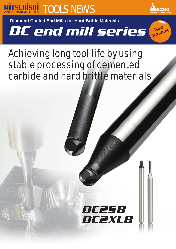



**New Product**

**Diamond Coated End Mills for Hard Brittle Materials**

DC end mill series

# Achieving long tool life by using stable processing of cemented carbide and hard brittle materials

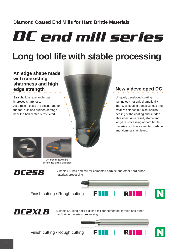# **Diamond Coated End Mills for Hard Brittle Materials**

DC end mill series

# **Long tool life with stable processing**

**An edge shape made with coexisting sharpness and high edge strength**

Straight flute rake angle has improved sharpness. As a result, chips are discharged to the tool axis and sudden damage near the ball center is restricted.

**Newly developed DC**

Uniquely developed coating technology not only dramatically improves coating adhesiveness and wear resistance but also inhibits peeling of the coating and sudden abrasions. As a result, stable and long-life processing of hard brittle materials such as cemented carbide and alumina is achieved.





An image showing the occurrence of chip discharge



Suitable DC ball end mill for cemented carbide and other hard brittle materials processing



Finish cutting / Rough cutting



Suitable DC long neck ball end mill for cemented carbide and other hard brittle materials processing

Finish cutting / Rough cutting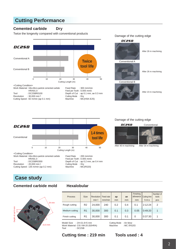## **Cutting Performance**

#### **Cemented carbide Dry**

Twice the longevity compared with conventional products Damage of the cutting edge



Cutting Mode : Dry<br>Machine : MC  $\therefore$  MC(HSK-E25)



After 26 m machining

After 26 m machining

Conventional B



After 23 m machining



#### Damage of the cutting edge

Conventional



After 40 m machining After 34 m machining



**Case study**

Cutting Speed : 82 m/min (ap 0.1 mm)

#### **Cemented carbide mold Hexalobular**



| <b>Process</b> | <b>Size</b>    | Revolution<br>$min-1$ | Feed rate<br>mm/min | ap<br>mm | ae<br>mm | Finishing<br>allowance<br>mm | Cutting time<br>h:m:s | Number of<br>tools<br>pcs |
|----------------|----------------|-----------------------|---------------------|----------|----------|------------------------------|-----------------------|---------------------------|
| Rough cutting  | R <sub>2</sub> | 24,000                | 240                 | 0.2      | 0.4      | 0.1                          | 2:12:24               | $\overline{2}$            |
| Medium cutting | R <sub>1</sub> | 30,000                | 300                 | 0.1      | 0.3      | 0.05                         | 0:49:20               | 1                         |
| Finish cutting | R <sub>1</sub> | 30,000                | 300                 | 0.1      | 0.1      | 0                            | 0:37:30               |                           |

Model Size : 24×21.6×5 mm Work Material: CIS VM-20 (92HRA) Tool : DC2SB

Cutting Mode : Air blow Machine : MC (RS20)

#### **Cutting time : 219 min Tools used : 4**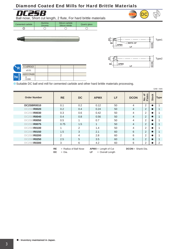## Diamond Coated End Mills for Hard Brittle Materials



Ball nose, Short cut length, 2 flute, For hard brittle materials

| Cemented carbide | Alumina<br><b>Zirconia</b> | Silicon carbide<br>Silicon nitride | Quartz glass |
|------------------|----------------------------|------------------------------------|--------------|
| O                |                            |                                    |              |





UWC

DC



| D             | $0.1 \leq$ RE $\leq$ 3 |  |  |
|---------------|------------------------|--|--|
|               | ±0.01                  |  |  |
|               | 4≤DCON≤6               |  |  |
| [ <b>h6</b> ] | $-0.008$               |  |  |

a Suitable DC ball end mill for cemented carbide and other hard brittle materials processing.

| <b>Order Number</b>              | <b>RE</b> | <b>DC</b> | <b>APMX</b> | <b>LF</b> | <b>DCON</b>    | No. of<br>Flutes | <b>Stock</b> | <b>Type</b> |
|----------------------------------|-----------|-----------|-------------|-----------|----------------|------------------|--------------|-------------|
| <b>DC2SBR0010</b>                | 0.1       | 0.2       | 0.12        | 50        | 4              | 2                | $\bullet$    |             |
| DC2SBR0020                       | 0.2       | 0.4       | 0.24        | 50        | $\overline{4}$ | 2                |              |             |
| DC2SBR0030                       | 0.3       | 0.6       | 0.42        | 50        | 4              | 2                |              |             |
| DC2SBR0040                       | 0.4       | 0.8       | 0.56        | 50        | $\overline{4}$ | 2                | 0            |             |
| DC2SBR0050                       | 0.5       |           | 0.7         | 50        | 4              | 2                |              |             |
| DC2SBR0075                       | 0.75      | 1.5       | 1           | 50        | $\overline{4}$ | 2                |              |             |
| DC2SBR0100                       |           | 2         | 1.4         | 50        | 4              | 2                |              |             |
| <b>R0150</b><br>DC <sub>2S</sub> | 1.5       | 3         | 2.1         | 60        | 6              | 2                |              |             |
| DC2SBR0200                       | 2         | 4         | 2.8         | 60        | 6              | 2                |              |             |
| DC2SBR0250                       | 2.5       | 5         | 3.5         | 60        | 6              | 2                |              |             |
| DC2SBR0300                       | 3         | 6         | 4.2         | 60        | 6              | 2                |              | 2           |

**RE** = **DC** = = Radius of Ball Nose  $=$  Dia.

**APMX** = Length of Cut LF = Overall Length **DCON** = Shank Dia.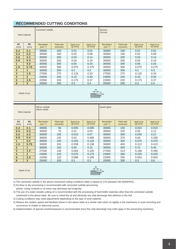#### **RECOMMENDED CUTTING CONDITIONS**

|                         | Work material     | Cemented carbide                  |                                                    |       |                         | Alumina<br>Zirconia               |                       |                         |                         |  |  |  |
|-------------------------|-------------------|-----------------------------------|----------------------------------------------------|-------|-------------------------|-----------------------------------|-----------------------|-------------------------|-------------------------|--|--|--|
| <b>DC</b><br>(mm)       | <b>RE</b><br>(mm) | <b>Revolution</b><br>$(min^{-1})$ | Feed rate<br>Depth of cut<br>$ap$ (mm)<br>(mm/min) |       | Depth of cut<br>ae (mm) | <b>Revolution</b><br>$(min^{-1})$ | Feed rate<br>(mm/min) | Depth of cut<br>ap (mm) | Depth of cut<br>ae (mm) |  |  |  |
| 0.2                     | 0.1               | 30000                             | 100                                                | 0.01  | 0.01                    | 30000                             | 100                   | 0.01                    | 0.01                    |  |  |  |
| 0.4                     | 0.2               | 30000                             | 150                                                | 0.02  | 0.08                    | 30000                             | 150                   | 0.02                    | 0.08                    |  |  |  |
| 0.6                     | 0.3               | 30000                             | 200<br>0.03                                        |       | 0.14                    | 30000                             | 200                   | 0.03                    | 0.14                    |  |  |  |
| 0.8                     | 0.4               | 30000                             | 0.04<br>250                                        |       | 0.19                    | 30000                             | 250                   | 0.04                    | 0.19                    |  |  |  |
| $\mathbf{1}$            | 0.5               | 30000                             | 300<br>0.05                                        |       | 0.25                    | 30000                             | 300                   | 0.05                    | 0.25                    |  |  |  |
| 1.5                     | 0.75              | 30000                             | 300                                                | 0.075 | 0.275                   | 30000                             | 300                   | 0.075                   | 0.275                   |  |  |  |
| $\overline{2}$          | $\mathbf{1}$      | 30000                             | 300                                                | 0.1   | 0.3                     | 30000                             | 300                   | 0.1                     | 0.3                     |  |  |  |
| 3                       | 1.5               | 27500                             | 275                                                | 0.125 | 0.33                    | 27500                             | 275                   | 0.125                   | 0.33                    |  |  |  |
| $\overline{\mathbf{4}}$ | $\overline{2}$    | 24000                             | 240                                                | 0.15  | 0.35                    | 24000                             | 240                   | 0.15                    | 0.35                    |  |  |  |
| 5                       | 2.5               | 22000                             | 220                                                | 0.175 | 0.37                    | 22000                             | 220                   | 0.175                   | 0.37                    |  |  |  |
| 6                       | $\overline{3}$    | 20000                             | 200                                                | 0.2   | 0.4                     | 20000                             | 200                   | 0.2                     | 0.4                     |  |  |  |
| Depth of cut            |                   |                                   | ae<br>ap                                           |       |                         |                                   |                       |                         |                         |  |  |  |

| Work material     |                   | Silicon carbide<br>Silicon nitride |                              |                           |                         | Quartz glass                      |                       |                           |                           |  |  |
|-------------------|-------------------|------------------------------------|------------------------------|---------------------------|-------------------------|-----------------------------------|-----------------------|---------------------------|---------------------------|--|--|
| <b>DC</b><br>(mm) | <b>RE</b><br>(mm) | Revolution<br>$(min^{-1})$         | <b>Feed rate</b><br>(mm/min) | Depth of cut<br>$ap$ (mm) | Depth of cut<br>ae (mm) | <b>Revolution</b><br>$(min^{-1})$ | Feed rate<br>(mm/min) | Depth of cut<br>$ap$ (mm) | Depth of cut<br>$ae$ (mm) |  |  |
| 0.2               | 0.1               | 30000                              | 50                           | 0.005                     | 0.005                   | 30000                             | 150                   | 0.015                     | 0.015                     |  |  |
| 0.4               | 0.2               | 30000                              | 75                           | 0.01                      | 0.04                    | 30000                             | 225                   | 0.03                      | 0.12                      |  |  |
| 0.6               | 0.3               | 30000                              | 100                          | 0.015                     | 0.07                    | 30000                             | 300                   | 0.045                     | 0.21                      |  |  |
| 0.8               | 0.4               | 30000                              | 125<br>0.02                  |                           | 0.095                   | 30000                             | 375                   | 0.06                      | 0.285                     |  |  |
| $\mathbf{1}$      | 0.5               | 30000                              | 150                          | 0.025                     |                         | 30000                             | 450                   | 0.075                     | 0.375                     |  |  |
| 1.5               | 0.75              | 30000                              | 150                          | 0.038                     | 0.138                   | 30000                             | 450                   | 0.113                     | 0.413                     |  |  |
| $\overline{2}$    | 1                 | 30000                              | 150                          | 0.05                      | 0.15                    | 30000                             | 450                   | 0.15                      | 0.45                      |  |  |
| 3                 | 1.5               | 27500                              | 138                          | 0.063                     | 0.165                   | 27500                             | 413                   | 0.188                     | 0.495                     |  |  |
| $\overline{4}$    | $\overline{2}$    | 24000                              | 120                          | 0.075                     | 0.175                   | 24000                             | 360                   | 0.225                     | 0.525                     |  |  |
| 5                 | 2.5               | 22000                              | 110                          | 0.088                     | 0.185                   | 22000                             | 330                   | 0.263                     | 0.555                     |  |  |
| 6                 | 3                 | 20000                              | 100                          | 0.1                       | 0.2                     | 20000                             | 300                   | 0.3                       | 0.6                       |  |  |
| Depth of cut      |                   | ae<br>ap                           |                              |                           |                         |                                   |                       |                           |                           |  |  |

1) The cemented carbide in the above mentioned cutting conditions table is based on CIS standard VM-40(90HRA).

2) Air blow or dry processing is recommended with cemented carbide processing.

\*Note: Using coolants or oil mists may decrease tool longevity.

3) The use of a water soluble cutting oil is recommended with the processing of hard brittle materials other than the cemented carbide mentioned in the above table. Be sure to refuel the oil and eliminate any chip discharge that adheres to the tool.

4) Cutting conditions may need adjustments depending on the type of work material.

5) Reduce the rotation speed and feedrate shown in the above table at a similar ratio when no rigidity in the machinery or work mounting and occurrence of chatter or abnormal sound.

6) Implementation of special countermeasures is recommended since fine chip discharge may enter gaps in the processing machinery.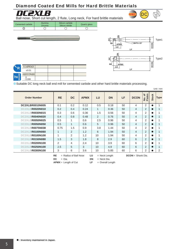## Diamond Coated End Mills for Hard Brittle Materials



**DC2XLB**<br>Ball nose, Short cut length, 2 flute, Long neck, For hard brittle materials

| Cemented carbide | Alumina<br><b>Zirconia</b> | Silicon carbide<br>Silicon nitride | Quartz glass |
|------------------|----------------------------|------------------------------------|--------------|
| ◡                |                            |                                    |              |
|                  |                            |                                    |              |



**UWC** 

DC

| D             | $0.1 \leq$ RE $\leq$ 3 |  |  |
|---------------|------------------------|--|--|
|               | ±0.01                  |  |  |
|               | 4≤DCON≤6               |  |  |
| [ <b>h6</b> ] | $-0.008$               |  |  |

● Suitable DC long neck ball end mill for cemented carbide and other hard brittle materials processing.

|                                   |              |                         |             |     |                 |    |                     |                  |              | Unit: mm    |
|-----------------------------------|--------------|-------------------------|-------------|-----|-----------------|----|---------------------|------------------|--------------|-------------|
| <b>Order Number</b>               | <b>RE</b>    | DC.                     | <b>APMX</b> | LU  | <b>DN</b>       | LF | <b>DCON</b>         | No. of<br>Flutes | <b>Stock</b> | <b>Type</b> |
| DC2XLBR0010N005                   | 0.1          | 0.2                     | 0.12        | 0.5 | 0.18            | 50 | 4                   | 2                | ●            | 1           |
| DC2XLBR0020N010                   | 0.2          | 0.4                     | 0.24        | 1   | 0.36            | 50 | $\overline{4}$      | $\overline{2}$   |              |             |
| DC2XLBR0030N015                   | 0.3          | 0.6                     | 0.36        | 1.5 | 0.56            | 50 | 4                   | 2                |              |             |
| <b>R0040N020</b><br><b>DC2XLB</b> | 0.4          | 0.8                     | 0.48        | 2   | 0.76            | 50 | $\overline{4}$      | 2                |              |             |
| DC2XLBR0050N025                   | 0.5          |                         | 0.6         | 2.5 | 0.96            | 50 | 4                   | 2                |              |             |
| <b>R0050N050</b><br><b>DC2XLB</b> | 0.5          | $\mathbf{1}$            | 0.6         | 5   | 0.96            | 50 | $\overline{4}$      | 2                |              |             |
| DC2XLBR0075N038                   | 0.75         | 1.5                     | 0.9         | 3.8 | 1.44            | 50 | 4                   | 2                |              |             |
| DC2XLBR0100N060                   | $\mathbf{1}$ | 2                       | 1.2         | 6   | 1.94            | 50 | $\overline{4}$      | 2                |              |             |
| DC2XLBR0100N100                   | 1            | $\overline{2}$          | 1.2         | 10  | 1.94            | 50 | 4                   | 2                |              |             |
| DC2XLBR0150N080                   | 1.5          | 3                       | 1.8         | 8   | 2.9             | 60 | 6                   | $\overline{2}$   |              |             |
| DC2XLBR0200N100                   | 2            | 4                       | 2.4         | 10  | 3.9             | 60 | 6                   | 2                |              |             |
| <b>R0250N100</b><br><b>DC2XLB</b> | 2.5          | 5                       | 3           | 10  | 4.9             | 60 | 6                   | 2                |              |             |
| DC2XLBR0300N100                   | 3            | 6                       | 3.6         | 10  | 5.85            | 60 | 6                   | 2                |              | 2           |
|                                   | <b>RE</b>    | $=$ Radius of Ball Nose | LU          |     | $=$ Neck Length |    | $DCON =$ Shank Dia. |                  |              |             |

**DC** = Dia. **APMX** = Length of Cut **DN** = Neck Dia.

Overall Length

**LF** =

a **: Inventory maintained in Japan.**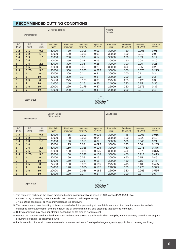#### **RECOMMENDED CUTTING CONDITIONS**

|                   | Work material     |                | Cemented carbide           |                              |                           |                         | Alumina<br>Zirconia               |                       |                           |                           |  |
|-------------------|-------------------|----------------|----------------------------|------------------------------|---------------------------|-------------------------|-----------------------------------|-----------------------|---------------------------|---------------------------|--|
| <b>DC</b><br>(mm) | <b>RE</b><br>(mm) | LU<br>(mm)     | Revolution<br>$(min^{-1})$ | <b>Feed rate</b><br>(mm/min) | Depth of cut<br>$ap$ (mm) | Depth of cut<br>ae (mm) | <b>Revolution</b><br>$(min^{-1})$ | Feed rate<br>(mm/min) | Depth of cut<br>$ap$ (mm) | Depth of cut<br>$ae$ (mm) |  |
| 0.2               | 0.1               | 0.5            | 30000                      | 30                           | 0.005                     | 0.01                    | 30000                             | 30                    | 0.005                     | 0.01                      |  |
| 0.4               | 0.2               | 1              | 30000                      | 100                          | 0.015                     | 0.08                    | 30000                             | 100                   | 0.015                     | 0.08                      |  |
| 0.6               | 0.3               | 1.5            | 30000                      | 200                          | 0.03                      | 0.14                    | 30000                             | 200                   | 0.03                      | 0.14                      |  |
| 0.8               | 0.4               | $\overline{2}$ | 30000                      | 250                          | 0.04                      | 0.19                    | 30000                             | 250                   | 0.04                      | 0.19                      |  |
| 1                 | 0.5               | 2.5            | 30000                      | 300                          | 0.05                      | 0.25                    | 30000                             | 300                   | 0.05                      | 0.25                      |  |
| $\mathbf{1}$      | 0.5               | 5              | 30000                      | 300                          | 0.05                      | 0.25                    | 30000                             | 300                   | 0.05                      | 0.25                      |  |
| 1.5               | 0.75              | 3.8            | 30000                      | 300                          | 0.075                     | 0.275                   | 30000                             | 300                   | 0.075                     | 0.275                     |  |
| $\overline{2}$    | 1                 | 6              | 30000                      | 300                          | 0.1                       | 0.3                     | 30000                             | 300                   | 0.1                       | 0.3                       |  |
| $\overline{2}$    | 1                 | 10             | 30000                      | 300                          | 0.1                       | 0.3                     | 30000                             | 300                   | 0.1                       | 0.3                       |  |
| 3                 | 1.5               | 8              | 27500                      | 275                          | 0.125                     | 0.33                    | 27500                             | 275                   | 0.125                     | 0.33                      |  |
| 4                 | $\overline{2}$    | 10             | 24000                      | 240                          | 0.15                      | 0.35                    | 24000                             | 240                   | 0.15                      | 0.35                      |  |
| 5                 | 2.5               | 10             | 22000                      | 220                          | 0.175                     | 0.37                    | 22000                             | 220                   | 0.175                     | 0.37                      |  |
| 6                 | 3                 | 10             | 20000                      | 200                          | 0.2                       | 0.4                     | 20000                             | 200                   | 0.2                       | 0.4                       |  |
|                   |                   |                |                            |                              |                           |                         |                                   |                       |                           |                           |  |

Depth of cut



|                   | Work material           |                 | Silicon carbide<br>Silicon nitride |                       |                           |                           | Quartz glass                      |                       |                           |                         |  |
|-------------------|-------------------------|-----------------|------------------------------------|-----------------------|---------------------------|---------------------------|-----------------------------------|-----------------------|---------------------------|-------------------------|--|
| <b>DC</b><br>(mm) | <b>RE</b><br>(mm)       | LU<br>(mm)      | <b>Revolution</b><br>$(min^{-1})$  | Feed rate<br>(mm/min) | Depth of cut<br>$ap$ (mm) | Depth of cut<br>$ae$ (mm) | <b>Revolution</b><br>$(min^{-1})$ | Feed rate<br>(mm/min) | Depth of cut<br>$ap$ (mm) | Depth of cut<br>ae (mm) |  |
| 0.2               | 0.1                     | 0.5             | 30000                              | 15                    | 0.003                     | 0.005                     | 30000                             | 45                    | 0.008                     | 0.015                   |  |
| 0.4               | 0.2                     | $\mathbf{1}$    | 30000                              | 50                    | 0.008                     | 0.04                      | 30000                             | 150                   | 0.023                     | 0.12                    |  |
| 0.6               | 0.3                     | 1.5             | 30000                              | 100                   | 0.015                     | 0.07                      | 30000                             | 300                   | 0.045                     | 0.21                    |  |
| 0.8               | 0.4                     | $\overline{2}$  | 30000                              | 125                   | 0.02                      | 0.095                     | 30000                             | 375                   | 0.06                      | 0.285                   |  |
| $\mathbf{1}$      | 0.5                     | 2.5             | 30000                              | 150                   | 0.025                     | 0.125                     | 30000                             | 450                   | 0.075                     | 0.375                   |  |
| $\mathbf{1}$      | 0.5                     | 5               | 30000                              | 150                   | 0.025                     | 0.125                     | 30000                             | 450                   | 0.075                     | 0.375                   |  |
| 1.5               | 0.75                    | 3.8             | 30000                              | 150                   | 0.038                     | 0.138                     | 30000                             | 450                   | 0.113                     | 0.413                   |  |
| $\overline{2}$    | $\mathbf{1}$            | 6               | 30000                              | 150                   | 0.05                      | 0.15                      | 30000                             | 450                   | 0.15                      | 0.45                    |  |
| $\overline{2}$    | $\mathbf{1}$            | 10              | 30000                              | 150                   | 0.05                      | 0.15                      | 30000                             | 450                   | 0.15                      | 0.45                    |  |
| $\overline{3}$    | 1.5                     | 8               | 27500                              | 138                   | 0.063                     | 0.165                     | 27500                             | 413                   | 0.188                     | 0.495                   |  |
| 4                 | $\overline{2}$          | 10              | 24000                              | 120                   | 0.075                     | 0.175                     | 24000                             | 360                   | 0.225                     | 0.525                   |  |
| 5                 | 2.5                     | 10 <sup>1</sup> | 22000                              | 110                   | 0.088                     | 0.185                     | 22000                             | 330                   | 0.263                     | 0.555                   |  |
| 6                 | $\overline{\mathbf{3}}$ | 10 <sup>1</sup> | 20000                              | 100                   | 0.1                       | 0.2                       | 20000                             | 300                   | 0.3                       | 0.6                     |  |
| Depth of cut      |                         | ae<br>ap        |                                    |                       |                           |                           |                                   |                       |                           |                         |  |

1) The cemented carbide in the above mentioned cutting conditions table is based on CIS standard VM-40(90HRA).

2) Air blow or dry processing is recommended with cemented carbide processing.

\*Note: Using coolants or oil mists may decrease tool longevity.

3) The use of a water soluble cutting oil is recommended with the processing of hard brittle materials other than the cemented carbide mentioned in the above table. Be sure to refuel the oil and eliminate any chip discharge that adheres to the tool.

4) Cutting conditions may need adjustments depending on the type of work material.

5) Reduce the rotation speed and feedrate shown in the above table at a similar ratio when no rigidity in the machinery or work mounting and occurrence of chatter or abnormal sound.

6) Implementation of special countermeasures is recommended since fine chip discharge may enter gaps in the processing machinery.